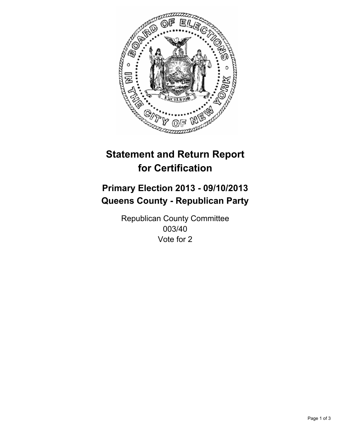

# **Statement and Return Report for Certification**

# **Primary Election 2013 - 09/10/2013 Queens County - Republican Party**

Republican County Committee 003/40 Vote for 2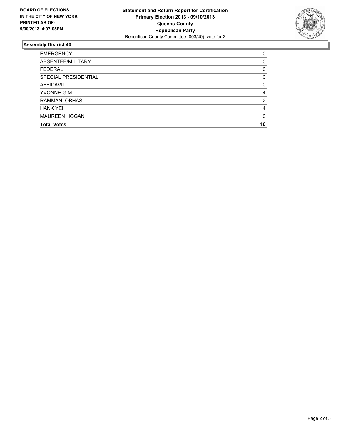

## **Assembly District 40**

| <b>EMERGENCY</b>     | 0        |
|----------------------|----------|
| ABSENTEE/MILITARY    | $\Omega$ |
| <b>FEDERAL</b>       | 0        |
| SPECIAL PRESIDENTIAL | 0        |
| <b>AFFIDAVIT</b>     | $\Omega$ |
| <b>YVONNE GIM</b>    | 4        |
| <b>RAMMANI OBHAS</b> | 2        |
| <b>HANK YEH</b>      | 4        |
| <b>MAUREEN HOGAN</b> | $\Omega$ |
| <b>Total Votes</b>   | 10       |